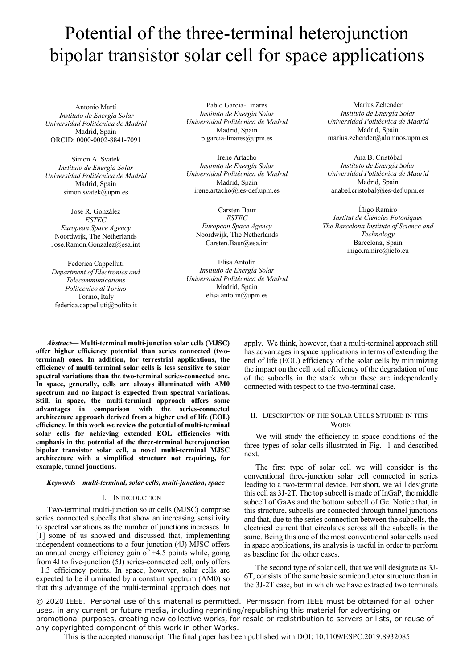# Potential of the three-terminal heterojunction bipolar transistor solar cell for space applications

Antonio Martí *Instituto de Energía Solar Universidad Politécnica de Madrid* Madrid, Spain ORCID: 0000-0002-8841-7091

Simon A. Svatek *Instituto de Energía Solar Universidad Politécnica de Madrid* Madrid, Spain simon.svatek@upm.es

José R. González *ESTEC European Space Agency* Noordwijk, The Netherlands Jose.Ramon.Gonzalez@esa.int

Federica Cappelluti *Department of Electronics and Telecommunications Politecnico di Torino* Torino, Italy federica.cappelluti@polito.it

Pablo García-Linares *Instituto de Energía Solar Universidad Politécnica de Madrid* Madrid, Spain p.garcia-linares@upm.es

Irene Artacho *Instituto de Energía Solar Universidad Politécnica de Madrid* Madrid, Spain irene.artacho@ies-def.upm.es

Carsten Baur *ESTEC European Space Agency* Noordwijk, The Netherlands Carsten.Baur@esa.int

Elisa Antolín *Instituto de Energía Solar Universidad Politécnica de Madrid* Madrid, Spain elisa.antolin@upm.es

Marius Zehender *Instituto de Energía Solar Universidad Politécnica de Madrid* Madrid, Spain marius.zehender@alumnos.upm.es

Ana B. Cristóbal *Instituto de Energía Solar Universidad Politécnica de Madrid* Madrid, Spain anabel.cristobal@ies-def.upm.es

Íñigo Ramiro *Institut de Ciències Fotòniques The Barcelona Institute of Science and Technology* Barcelona, Spain inigo.ramiro@icfo.eu

*Abstract***— Multi-terminal multi-junction solar cells (MJSC) offer higher efficiency potential than series connected (twoterminal) ones. In addition, for terrestrial applications, the efficiency of multi-terminal solar cells is less sensitive to solar spectral variations than the two-terminal series-connected one. In space, generally, cells are always illuminated with AM0 spectrum and no impact is expected from spectral variations. Still, in space, the multi-terminal approach offers some advantages in comparison with the series-connected architecture approach derived from a higher end of life (EOL) efficiency. In this work we review the potential of multi-terminal solar cells for achieving extended EOL efficiencies with emphasis in the potential of the three-terminal heterojunction bipolar transistor solar cell, a novel multi-terminal MJSC architecture with a simplified structure not requiring, for example, tunnel junctions.**

### *Keywords—multi-terminal, solar cells, multi-junction, space*

#### I. INTRODUCTION

Two-terminal multi-junction solar cells (MJSC) comprise series connected subcells that show an increasing sensitivity to spectral variations as the number of junctions increases. In [1] some of us showed and discussed that, implementing independent connections to a four junction (4J) MJSC offers an annual energy efficiency gain of +4.5 points while, going from 4J to five-junction (5J) series-connected cell, only offers +1.3 efficiency points. In space, however, solar cells are expected to be illuminated by a constant spectrum (AM0) so that this advantage of the multi-terminal approach does not

apply. We think, however, that a multi-terminal approach still has advantages in space applications in terms of extending the end of life (EOL) efficiency of the solar cells by minimizing the impact on the cell total efficiency of the degradation of one of the subcells in the stack when these are independently connected with respect to the two-terminal case.

## II. DESCRIPTION OF THE SOLAR CELLS STUDIED IN THIS **WORK**

We will study the efficiency in space conditions of the three types of solar cells illustrated in Fig. 1 and described next.

The first type of solar cell we will consider is the conventional three-junction solar cell connected in series leading to a two-terminal device. For short, we will designate this cell as 3J-2T. The top subcell is made of InGaP, the middle subcell of GaAs and the bottom subcell of Ge. Notice that, in this structure, subcells are connected through tunnel junctions and that, due to the series connection between the subcells, the electrical current that circulates across all the subcells is the same. Being this one of the most conventional solar cells used in space applications, its analysis is useful in order to perform as baseline for the other cases.

The second type of solar cell, that we will designate as 3J-6T, consists of the same basic semiconductor structure than in the 3J-2T case, but in which we have extracted two terminals

© 2020 IEEE. Personal use of this material is permitted. Permission from IEEE must be obtained for all other uses, in any current or future media, including reprinting/republishing this material for advertising or promotional purposes, creating new collective works, for resale or redistribution to servers or lists, or reuse of any copyrighted component of this work in other Works.

This is the accepted manuscript. The final paper has been published with DOI: 10.1109/ESPC.2019.8932085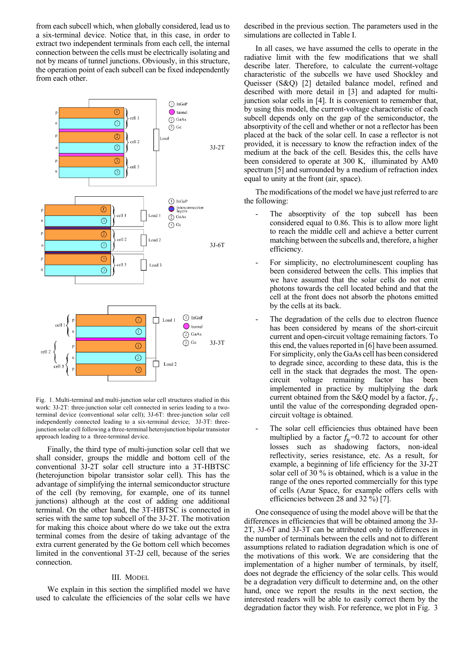from each subcell which, when globally considered, lead us to a six-terminal device. Notice that, in this case, in order to extract two independent terminals from each cell, the internal connection between the cells must be electrically isolating and not by means of tunnel junctions. Obviously, in this structure, the operation point of each subcell can be fixed independently from each other.



Fig. 1. Multi-terminal and multi-junction solar cell structures studied in this work: 3J-2T: three-junction solar cell connected in series leading to a twoterminal device (conventional solar cell); 3J-6T: three-junction solar cell independently connected leading to a six-terminal device; 3J-3T: threejunction solar cell following a three-terminal heterojunction bipolar transistor approach leading to a three-terminal device.

Finally, the third type of multi-junction solar cell that we shall consider, groups the middle and bottom cell of the conventional 3J-2T solar cell structure into a 3T-HBTSC (heterojunction bipolar transistor solar cell). This has the advantage of simplifying the internal semiconductor structure of the cell (by removing, for example, one of its tunnel junctions) although at the cost of adding one additional terminal. On the other hand, the 3T-HBTSC is connected in series with the same top subcell of the 3J-2T. The motivation for making this choice about where do we take out the extra terminal comes from the desire of taking advantage of the extra current generated by the Ge bottom cell which becomes limited in the conventional 3T-2J cell, because of the series connection.

#### III. MODEL

We explain in this section the simplified model we have used to calculate the efficiencies of the solar cells we have

described in the previous section. The parameters used in the simulations are collected in Table I.

In all cases, we have assumed the cells to operate in the radiative limit with the few modifications that we shall describe later. Therefore, to calculate the current-voltage characteristic of the subcells we have used Shockley and Queisser (S&Q) [2] detailed balance model, refined and described with more detail in [3] and adapted for multijunction solar cells in [4]. It is convenient to remember that, by using this model, the current-voltage characteristic of each subcell depends only on the gap of the semiconductor, the absorptivity of the cell and whether or not a reflector has been placed at the back of the solar cell. In case a reflector is not provided, it is necessary to know the refraction index of the medium at the back of the cell. Besides this, the cells have been considered to operate at 300 K, illuminated by AM0 spectrum [5] and surrounded by a medium of refraction index equal to unity at the front (air, space).

The modifications of the model we have just referred to are the following:

- The absorptivity of the top subcell has been considered equal to 0.86. This is to allow more light to reach the middle cell and achieve a better current matching between the subcells and, therefore, a higher efficiency.
- For simplicity, no electroluminescent coupling has been considered between the cells. This implies that we have assumed that the solar cells do not emit photons towards the cell located behind and that the cell at the front does not absorb the photons emitted by the cells at its back.
- The degradation of the cells due to electron fluence has been considered by means of the short-circuit current and open-circuit voltage remaining factors. To this end, the values reported in [6] have been assumed. For simplicity, only the GaAs cell has been considered to degrade since, according to these data, this is the cell in the stack that degrades the most. The opencircuit voltage remaining factor has been implemented in practice by multiplying the dark current obtained from the S&Q model by a factor,  $f_V$ , until the value of the corresponding degraded opencircuit voltage is obtained.
- The solar cell efficiencies thus obtained have been multiplied by a factor  $f_n = 0.72$  to account for other losses such as shadowing factors, non-ideal reflectivity, series resistance, etc. As a result, for example, a beginning of life efficiency for the 3J-2T solar cell of 30 % is obtained, which is a value in the range of the ones reported commercially for this type of cells (Azur Space, for example offers cells with efficiencies between 28 and 32 %) [7].

One consequence of using the model above will be that the differences in efficiencies that will be obtained among the 3J-2T, 3J-6T and 3J-3T can be attributed only to differences in the number of terminals between the cells and not to different assumptions related to radiation degradation which is one of the motivations of this work. We are considering that the implementation of a higher number of terminals, by itself, does not degrade the efficiency of the solar cells. This would be a degradation very difficult to determine and, on the other hand, once we report the results in the next section, the interested readers will be able to easily correct them by the degradation factor they wish. For reference, we plot in Fig. 3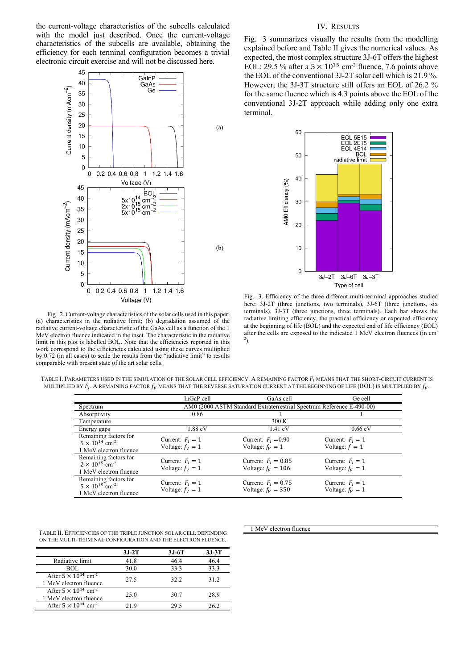the current-voltage characteristics of the subcells calculated with the model just described. Once the current-voltage characteristics of the subcells are available, obtaining the efficiency for each terminal configuration becomes a trivial electronic circuit exercise and will not be discussed here.



Fig. 2. Current-voltage characteristics of the solar cells used in this paper: (a) characteristics in the radiative limit; (b) degradation assumed of the radiative current-voltage characteristic of the GaAs cell as a function of the 1 MeV electron fluence indicated in the inset. The characteristic in the radiative limit in this plot is labelled BOL. Note that the efficiencies reported in this work correspond to the efficiencies calculated using these curves multiplied by 0.72 (in all cases) to scale the results from the "radiative limit" to results comparable with present state of the art solar cells.

#### IV. RESULTS

Fig. 3 summarizes visually the results from the modelling explained before and Table II gives the numerical values. As expected, the most complex structure 3J-6T offers the highest EOL: 29.5 % after a  $5 \times 10^{15}$  cm<sup>-2</sup> fluence, 7.6 points above the EOL of the conventional 3J-2T solar cell which is 21.9 %. However, the 3J-3T structure still offers an EOL of 26.2 % for the same fluence which is 4.3 points above the EOL of the conventional 3J-2T approach while adding only one extra terminal.



Fig. 3. Efficiency of the three different multi-terminal approaches studied here: 3J-2T (three junctions, two terminals), 3J-6T (three junctions, six terminals), 3J-3T (three junctions, three terminals). Each bar shows the radiative limiting efficiency, the practical efficiency or expected efficiency at the beginning of life (BOL) and the expected end of life efficiency (EOL) after the cells are exposed to the indicated 1 MeV electron fluences (in cm-2 ).

| TABLE I. PARAMETERS USED IN THE SIMULATION OF THE SOLAR CELL EFFICIENCY. A REMAINING FACTOR $F_\mathrm{I}$ MEANS THAT THE SHORT-CIRCUIT CURRENT IS |  |
|----------------------------------------------------------------------------------------------------------------------------------------------------|--|
| MULTIPLIED BY $F_t$ . A REMAINING FACTOR $f_v$ MEANS THAT THE REVERSE SATURATION CURRENT AT THE BEGINNING OF LIFE (BOL) IS MULTIPLIED BY $f_v$ .   |  |

|                                                                                        | InGaP cell                                                            | GaAs cell                                     | Ge cell                                  |  |  |  |
|----------------------------------------------------------------------------------------|-----------------------------------------------------------------------|-----------------------------------------------|------------------------------------------|--|--|--|
| Spectrum                                                                               | AM0 (2000 ASTM Standard Extraterrestrial Spectrum Reference E-490-00) |                                               |                                          |  |  |  |
| Absorptivity                                                                           | 0.86                                                                  |                                               |                                          |  |  |  |
| Temperature                                                                            |                                                                       | 300 K                                         |                                          |  |  |  |
| Energy gaps                                                                            | $1.88$ eV                                                             | $1.41 \text{ eV}$                             | $0.66$ eV                                |  |  |  |
| Remaining factors for<br>$5 \times 10^{14}$ cm <sup>-2</sup><br>1 MeV electron fluence | Current: $F_1 = 1$<br>Voltage: $f_v = 1$                              | Current: $FI = 0.90$<br>Voltage: $f_v = 1$    | Current: $F_1 = 1$<br>Voltage: $f = 1$   |  |  |  |
| Remaining factors for<br>$2 \times 10^{15}$ cm <sup>-2</sup><br>1 MeV electron fluence | Current: $F_1 = 1$<br>Voltage: $f_v = 1$                              | Current: $F_I = 0.85$<br>Voltage: $f_v = 106$ | Current: $F_1 = 1$<br>Voltage: $f_v = 1$ |  |  |  |
| Remaining factors for<br>$5 \times 10^{15}$ cm <sup>-2</sup><br>1 MeV electron fluence | Current: $F_1 = 1$<br>Voltage: $f_V = 1$                              | Current: $F_I = 0.75$<br>Voltage: $f_V = 350$ | Current: $F_1 = 1$<br>Voltage: $f_v = 1$ |  |  |  |

| TABLE II. EFFICIENCIES OF THE TRIPLE JUNCTION SOLAR CELL DEPENDING |
|--------------------------------------------------------------------|
| ON THE MULTI-TERMINAL CONFIGURATION AND THE ELECTRON FLUENCE.      |

|                                                                     | $3J-2T$ | $3J-6T$ | $3J-3T$ |
|---------------------------------------------------------------------|---------|---------|---------|
| Radiative limit                                                     | 41.8    | 46.4    | 46.4    |
| BOL                                                                 | 30.0    | 33.3    | 33.3    |
| After $5 \times 10^{14}$ cm <sup>-2</sup><br>1 MeV electron fluence | 27.5    | 32.2    | 31.2    |
| After $5 \times 10^{14}$ cm <sup>-2</sup><br>1 MeV electron fluence | 25.0    | 30.7    | 28.9    |
| After $5 \times 10^{14}$ cm <sup>-2</sup>                           | 21.9    | 29.5    | 26.2    |

1 MeV electron fluence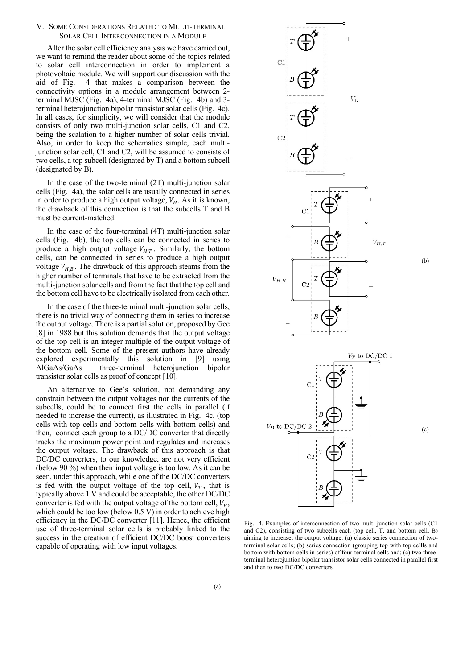#### V. SOME CONSIDERATIONS RELATED TO MULTI-TERMINAL SOLAR CELL INTERCONNECTION IN A MODULE

After the solar cell efficiency analysis we have carried out, we want to remind the reader about some of the topics related to solar cell interconnection in order to implement a photovoltaic module. We will support our discussion with the aid of Fig. 4 that makes a comparison between the connectivity options in a module arrangement between 2 terminal MJSC (Fig. 4a), 4-terminal MJSC (Fig. 4b) and 3 terminal heterojunction bipolar transistor solar cells (Fig. 4c). In all cases, for simplicity, we will consider that the module consists of only two multi-junction solar cells, C1 and C2, being the scalation to a higher number of solar cells trivial. Also, in order to keep the schematics simple, each multijunction solar cell, C1 and C2, will be assumed to consists of two cells, a top subcell (designated by T) and a bottom subcell (designated by B).

In the case of the two-terminal (2T) multi-junction solar cells (Fig. 4a), the solar cells are usually connected in series in order to produce a high output voltage,  $V_H$ . As it is known, the drawback of this connection is that the subcells T and B must be current-matched.

In the case of the four-terminal (4T) multi-junction solar cells (Fig. 4b), the top cells can be connected in series to produce a high output voltage  $V_{H,T}$ . Similarly, the bottom cells, can be connected in series to produce a high output voltage  $V_{H,B}$ . The drawback of this approach steams from the higher number of terminals that have to be extracted from the multi-junction solar cells and from the fact that the top cell and the bottom cell have to be electrically isolated from each other.

In the case of the three-terminal multi-junction solar cells, there is no trivial way of connecting them in series to increase the output voltage. There is a partial solution, proposed by Gee [8] in 1988 but this solution demands that the output voltage of the top cell is an integer multiple of the output voltage of the bottom cell. Some of the present authors have already explored experimentally this solution in [9] using AlGaAs/GaAs three-terminal heterojunction bipolar transistor solar cells as proof of concept [10].

An alternative to Gee's solution, not demanding any constrain between the output voltages nor the currents of the subcells, could be to connect first the cells in parallel (if needed to increase the current), as illustrated in Fig. 4c, (top cells with top cells and bottom cells with bottom cells) and then, connect each group to a DC/DC converter that directly tracks the maximum power point and regulates and increases the output voltage. The drawback of this approach is that DC/DC converters, to our knowledge, are not very efficient (below 90 %) when their input voltage is too low. As it can be seen, under this approach, while one of the DC/DC converters is fed with the output voltage of the top cell,  $V_T$ , that is typically above 1 V and could be acceptable, the other DC/DC converter is fed with the output voltage of the bottom cell,  $V_B$ , which could be too low (below  $0.5 \text{ V}$ ) in order to achieve high efficiency in the DC/DC converter [11]. Hence, the efficient use of three-terminal solar cells is probably linked to the success in the creation of efficient DC/DC boost converters capable of operating with low input voltages.



Fig. 4. Examples of interconnection of two multi-junction solar cells (C1 and C2), consisting of two subcells each (top cell, T, and bottom cell, B) aiming to increaset the output voltage: (a) classic series connection of twoterminal solar cells; (b) series connection (grouping top with top cellls and bottom with bottom cells in series) of four-terminal cells and; (c) two threeterminal heterojuntion bipolar transistor solar cells connected in parallel first and then to two DC/DC converters.